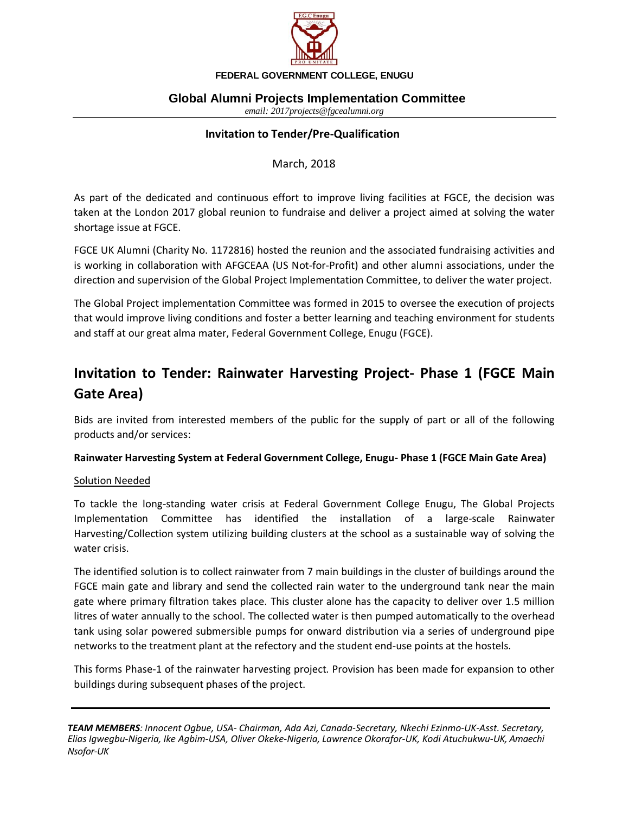

# **Global Alumni Projects Implementation Committee**

*email: 2017projects@fgcealumni.org* 

#### **Invitation to Tender/Pre-Qualification**

March, 2018

As part of the dedicated and continuous effort to improve living facilities at FGCE, the decision was taken at the London 2017 global reunion to fundraise and deliver a project aimed at solving the water shortage issue at FGCE.

FGCE UK Alumni (Charity No. 1172816) hosted the reunion and the associated fundraising activities and is working in collaboration with AFGCEAA (US Not-for-Profit) and other alumni associations, under the direction and supervision of the Global Project Implementation Committee, to deliver the water project.

The Global Project implementation Committee was formed in 2015 to oversee the execution of projects that would improve living conditions and foster a better learning and teaching environment for students and staff at our great alma mater, Federal Government College, Enugu (FGCE).

# **Invitation to Tender: Rainwater Harvesting Project- Phase 1 (FGCE Main Gate Area)**

Bids are invited from interested members of the public for the supply of part or all of the following products and/or services:

### **Rainwater Harvesting System at Federal Government College, Enugu- Phase 1 (FGCE Main Gate Area)**

#### Solution Needed

To tackle the long-standing water crisis at Federal Government College Enugu, The Global Projects Implementation Committee has identified the installation of a large-scale Rainwater Harvesting/Collection system utilizing building clusters at the school as a sustainable way of solving the water crisis.

The identified solution is to collect rainwater from 7 main buildings in the cluster of buildings around the FGCE main gate and library and send the collected rain water to the underground tank near the main gate where primary filtration takes place. This cluster alone has the capacity to deliver over 1.5 million litres of water annually to the school. The collected water is then pumped automatically to the overhead tank using solar powered submersible pumps for onward distribution via a series of underground pipe networks to the treatment plant at the refectory and the student end-use points at the hostels.

This forms Phase-1 of the rainwater harvesting project. Provision has been made for expansion to other buildings during subsequent phases of the project.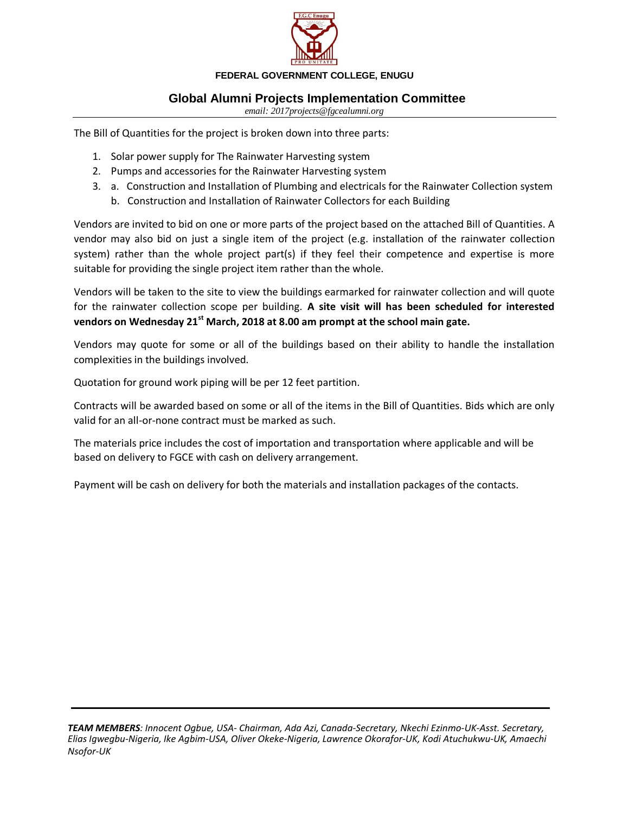

# **Global Alumni Projects Implementation Committee**

*email: 2017projects@fgcealumni.org* 

The Bill of Quantities for the project is broken down into three parts:

- 1. Solar power supply for The Rainwater Harvesting system
- 2. Pumps and accessories for the Rainwater Harvesting system
- 3. a. Construction and Installation of Plumbing and electricals for the Rainwater Collection system b. Construction and Installation of Rainwater Collectors for each Building

Vendors are invited to bid on one or more parts of the project based on the attached Bill of Quantities. A vendor may also bid on just a single item of the project (e.g. installation of the rainwater collection system) rather than the whole project part(s) if they feel their competence and expertise is more suitable for providing the single project item rather than the whole.

Vendors will be taken to the site to view the buildings earmarked for rainwater collection and will quote for the rainwater collection scope per building. **A site visit will has been scheduled for interested vendors on Wednesday 21st March, 2018 at 8.00 am prompt at the school main gate.**

Vendors may quote for some or all of the buildings based on their ability to handle the installation complexities in the buildings involved.

Quotation for ground work piping will be per 12 feet partition.

Contracts will be awarded based on some or all of the items in the Bill of Quantities. Bids which are only valid for an all-or-none contract must be marked as such.

The materials price includes the cost of importation and transportation where applicable and will be based on delivery to FGCE with cash on delivery arrangement.

Payment will be cash on delivery for both the materials and installation packages of the contacts.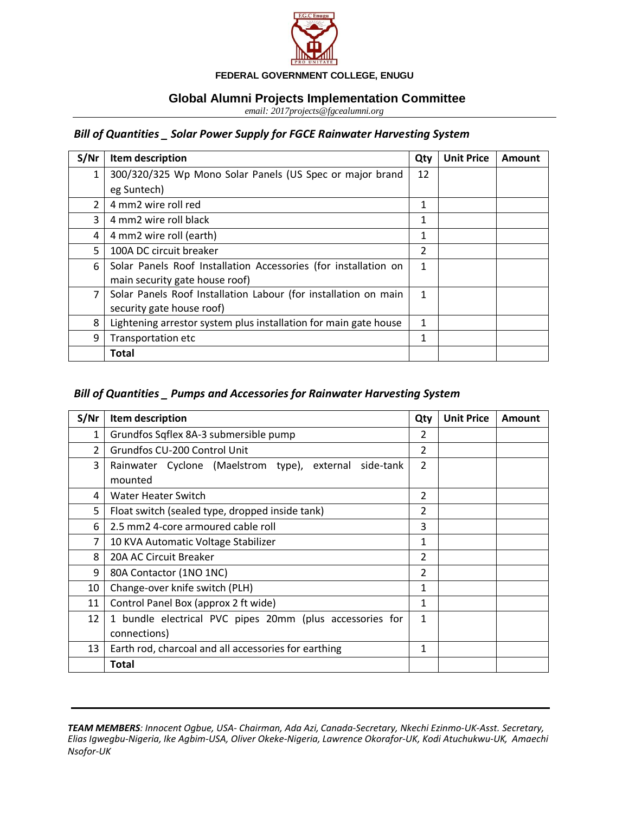

## **Global Alumni Projects Implementation Committee**

*email: 2017projects@fgcealumni.org* 

# *Bill of Quantities \_ Solar Power Supply for FGCE Rainwater Harvesting System*

| S/Nr | Item description                                                 | Qty | <b>Unit Price</b> | Amount |
|------|------------------------------------------------------------------|-----|-------------------|--------|
| 1    | 300/320/325 Wp Mono Solar Panels (US Spec or major brand         | 12  |                   |        |
|      | eg Suntech)                                                      |     |                   |        |
| 2    | 4 mm2 wire roll red                                              | 1   |                   |        |
| 3    | 4 mm2 wire roll black                                            | 1   |                   |        |
| 4    | 4 mm2 wire roll (earth)                                          | 1   |                   |        |
| 5    | 100A DC circuit breaker                                          |     |                   |        |
| 6    | Solar Panels Roof Installation Accessories (for installation on  | 1   |                   |        |
|      | main security gate house roof)                                   |     |                   |        |
| 7    | Solar Panels Roof Installation Labour (for installation on main  | 1   |                   |        |
|      | security gate house roof)                                        |     |                   |        |
| 8    | Lightening arrestor system plus installation for main gate house | 1   |                   |        |
| 9    | Transportation etc                                               | 1   |                   |        |
|      | <b>Total</b>                                                     |     |                   |        |

#### *Bill of Quantities \_ Pumps and Accessories for Rainwater Harvesting System*

| S/Nr           | Item description                                                  | Qty            | <b>Unit Price</b> | Amount |
|----------------|-------------------------------------------------------------------|----------------|-------------------|--------|
| 1              | Grundfos Sqflex 8A-3 submersible pump                             | 2              |                   |        |
| $\overline{2}$ | Grundfos CU-200 Control Unit                                      | $\overline{2}$ |                   |        |
| 3              | Rainwater Cyclone (Maelstrom type), external side-tank<br>mounted | 2              |                   |        |
|                |                                                                   |                |                   |        |
| 4              | Water Heater Switch                                               | 2              |                   |        |
| 5              | Float switch (sealed type, dropped inside tank)                   | $\overline{2}$ |                   |        |
| 6              | 2.5 mm2 4-core armoured cable roll                                | 3              |                   |        |
| 7              | 10 KVA Automatic Voltage Stabilizer                               | 1              |                   |        |
| 8              | 20A AC Circuit Breaker                                            | 2              |                   |        |
| 9              | 80A Contactor (1NO 1NC)                                           | 2              |                   |        |
| 10             | Change-over knife switch (PLH)                                    | 1              |                   |        |
| 11             | Control Panel Box (approx 2 ft wide)                              | $\mathbf{1}$   |                   |        |
| 12             | 1 bundle electrical PVC pipes 20mm (plus accessories for          | 1              |                   |        |
|                | connections)                                                      |                |                   |        |
| 13             | Earth rod, charcoal and all accessories for earthing              | 1              |                   |        |
|                | Total                                                             |                |                   |        |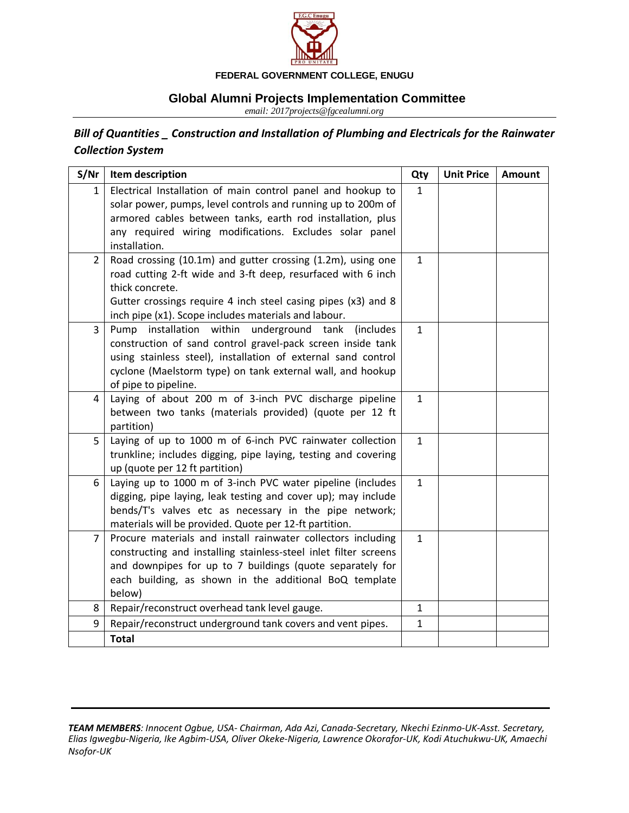

# **Global Alumni Projects Implementation Committee**

*email: 2017projects@fgcealumni.org* 

# *Bill of Quantities \_ Construction and Installation of Plumbing and Electricals for the Rainwater Collection System*

| S/Nr           | Item description                                                                                                            | Qty          | <b>Unit Price</b> | <b>Amount</b> |
|----------------|-----------------------------------------------------------------------------------------------------------------------------|--------------|-------------------|---------------|
| 1              | Electrical Installation of main control panel and hookup to<br>solar power, pumps, level controls and running up to 200m of | $\mathbf{1}$ |                   |               |
|                | armored cables between tanks, earth rod installation, plus                                                                  |              |                   |               |
|                | any required wiring modifications. Excludes solar panel                                                                     |              |                   |               |
|                | installation.                                                                                                               |              |                   |               |
| $\overline{2}$ | Road crossing (10.1m) and gutter crossing (1.2m), using one                                                                 | $\mathbf{1}$ |                   |               |
|                | road cutting 2-ft wide and 3-ft deep, resurfaced with 6 inch                                                                |              |                   |               |
|                | thick concrete.                                                                                                             |              |                   |               |
|                | Gutter crossings require 4 inch steel casing pipes (x3) and 8                                                               |              |                   |               |
|                | inch pipe (x1). Scope includes materials and labour.                                                                        |              |                   |               |
| $\overline{3}$ | Pump installation within underground tank<br><i>(includes)</i>                                                              | $\mathbf{1}$ |                   |               |
|                | construction of sand control gravel-pack screen inside tank                                                                 |              |                   |               |
|                | using stainless steel), installation of external sand control<br>cyclone (Maelstorm type) on tank external wall, and hookup |              |                   |               |
|                | of pipe to pipeline.                                                                                                        |              |                   |               |
| 4              | Laying of about 200 m of 3-inch PVC discharge pipeline                                                                      | $\mathbf{1}$ |                   |               |
|                | between two tanks (materials provided) (quote per 12 ft                                                                     |              |                   |               |
|                | partition)                                                                                                                  |              |                   |               |
| 5              | Laying of up to 1000 m of 6-inch PVC rainwater collection                                                                   | $\mathbf{1}$ |                   |               |
|                | trunkline; includes digging, pipe laying, testing and covering                                                              |              |                   |               |
|                | up (quote per 12 ft partition)                                                                                              |              |                   |               |
| 6              | Laying up to 1000 m of 3-inch PVC water pipeline (includes                                                                  | $\mathbf{1}$ |                   |               |
|                | digging, pipe laying, leak testing and cover up); may include                                                               |              |                   |               |
|                | bends/T's valves etc as necessary in the pipe network;                                                                      |              |                   |               |
| $\overline{7}$ | materials will be provided. Quote per 12-ft partition.<br>Procure materials and install rainwater collectors including      | $\mathbf{1}$ |                   |               |
|                | constructing and installing stainless-steel inlet filter screens                                                            |              |                   |               |
|                | and downpipes for up to 7 buildings (quote separately for                                                                   |              |                   |               |
|                | each building, as shown in the additional BoQ template                                                                      |              |                   |               |
|                | below)                                                                                                                      |              |                   |               |
| 8              | Repair/reconstruct overhead tank level gauge.                                                                               | $\mathbf{1}$ |                   |               |
| 9              | Repair/reconstruct underground tank covers and vent pipes.                                                                  | $\mathbf{1}$ |                   |               |
|                | <b>Total</b>                                                                                                                |              |                   |               |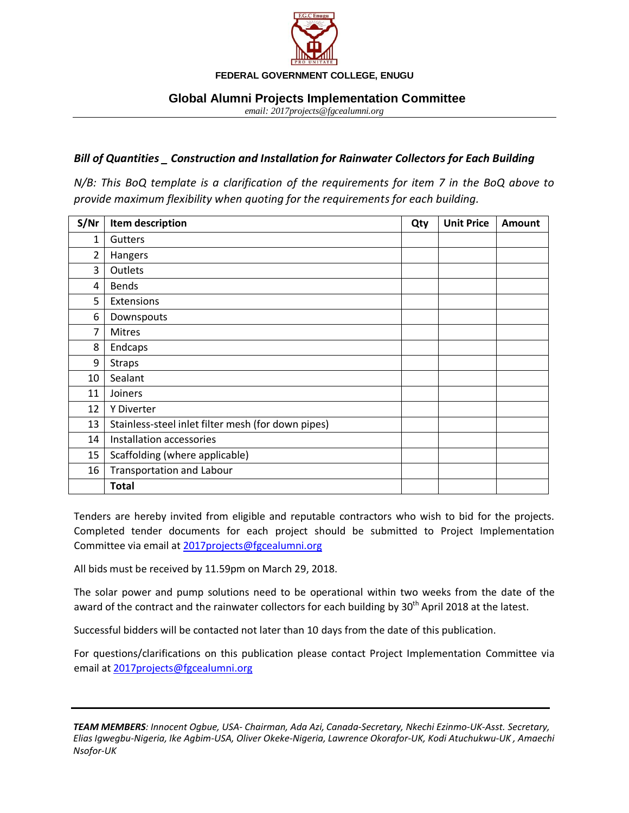

#### **Global Alumni Projects Implementation Committee**

*email: 2017projects@fgcealumni.org* 

#### *Bill of Quantities \_ Construction and Installation for Rainwater Collectors for Each Building*

*N/B: This BoQ template is a clarification of the requirements for item 7 in the BoQ above to provide maximum flexibility when quoting for the requirements for each building.* 

| S/Nr           | Item description                                   | Qty | <b>Unit Price</b> | Amount |
|----------------|----------------------------------------------------|-----|-------------------|--------|
| 1              | Gutters                                            |     |                   |        |
| $\overline{2}$ | Hangers                                            |     |                   |        |
| 3              | Outlets                                            |     |                   |        |
| 4              | <b>Bends</b>                                       |     |                   |        |
| 5              | Extensions                                         |     |                   |        |
| 6              | Downspouts                                         |     |                   |        |
| 7              | Mitres                                             |     |                   |        |
| 8              | Endcaps                                            |     |                   |        |
| 9              | <b>Straps</b>                                      |     |                   |        |
| 10             | Sealant                                            |     |                   |        |
| 11             | Joiners                                            |     |                   |        |
| 12             | Y Diverter                                         |     |                   |        |
| 13             | Stainless-steel inlet filter mesh (for down pipes) |     |                   |        |
| 14             | Installation accessories                           |     |                   |        |
| 15             | Scaffolding (where applicable)                     |     |                   |        |
| 16             | <b>Transportation and Labour</b>                   |     |                   |        |
|                | <b>Total</b>                                       |     |                   |        |

Tenders are hereby invited from eligible and reputable contractors who wish to bid for the projects. Completed tender documents for each project should be submitted to Project Implementation Committee via email at [2017projects@fgcealumni.org](mailto:2017projects@fgcealumni.org)

All bids must be received by 11.59pm on March 29, 2018.

The solar power and pump solutions need to be operational within two weeks from the date of the award of the contract and the rainwater collectors for each building by 30<sup>th</sup> April 2018 at the latest.

Successful bidders will be contacted not later than 10 days from the date of this publication.

For questions/clarifications on this publication please contact Project Implementation Committee via email a[t 2017projects@fgcealumni.org](mailto:2017projects@fgcealumni.org)